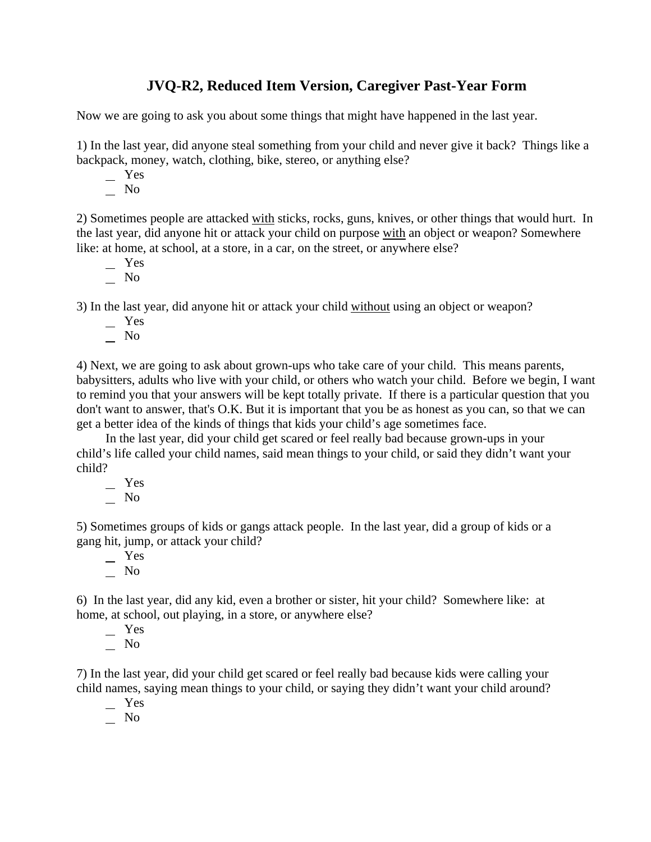## **JVQ-R2, Reduced Item Version, Caregiver Past-Year Form**

Now we are going to ask you about some things that might have happened in the last year.

1) In the last year, did anyone steal something from your child and never give it back? Things like a backpack, money, watch, clothing, bike, stereo, or anything else?

Yes

No

2) Sometimes people are attacked with sticks, rocks, guns, knives, or other things that would hurt. In the last year, did anyone hit or attack your child on purpose with an object or weapon? Somewhere like: at home, at school, at a store, in a car, on the street, or anywhere else?

- Yes
- $\overline{\phantom{0}}$  No

3) In the last year, did anyone hit or attack your child without using an object or weapon?

- Yes
- $\overline{\phantom{0}}$  No

4) Next, we are going to ask about grown-ups who take care of your child. This means parents, babysitters, adults who live with your child, or others who watch your child. Before we begin, I want to remind you that your answers will be kept totally private. If there is a particular question that you don't want to answer, that's O.K. But it is important that you be as honest as you can, so that we can get a better idea of the kinds of things that kids your child's age sometimes face.

In the last year, did your child get scared or feel really bad because grown-ups in your child's life called your child names, said mean things to your child, or said they didn't want your child?

 Yes No

5) Sometimes groups of kids or gangs attack people. In the last year, did a group of kids or a gang hit, jump, or attack your child?

 Yes  $\overline{\phantom{a}}$  No

6) In the last year, did any kid, even a brother or sister, hit your child? Somewhere like: at home, at school, out playing, in a store, or anywhere else?

 Yes  $\overline{\phantom{0}}$  No

7) In the last year, did your child get scared or feel really bad because kids were calling your child names, saying mean things to your child, or saying they didn't want your child around?

Yes

No